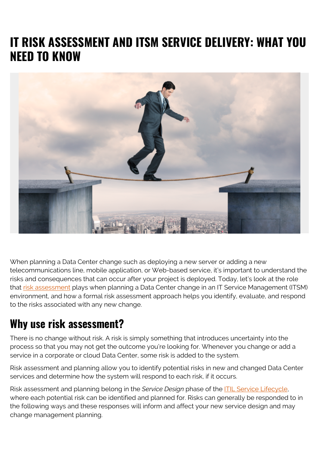# **IT RISK ASSESSMENT AND ITSM SERVICE DELIVERY: WHAT YOU NEED TO KNOW**



When planning a Data Center change such as deploying a new server or adding a new telecommunications line, mobile application, or Web-based service, it's important to understand the risks and consequences that can occur after your project is deployed. Today, let's look at the role that [risk assessment](https://blogs.bmc.com/blogs/risk-assessment-vs-vulnerability-assessment/) plays when planning a Data Center change in an IT Service Management (ITSM) environment, and how a formal risk assessment approach helps you identify, evaluate, and respond to the risks associated with any new change.

#### **Why use risk assessment?**

There is no change without risk. A risk is simply something that introduces uncertainty into the process so that you may not get the outcome you're looking for. Whenever you change or add a service in a corporate or cloud Data Center, some risk is added to the system.

Risk assessment and planning allow you to identify potential risks in new and changed Data Center services and determine how the system will respond to each risk, if it occurs.

Risk assessment and planning belong in the *Service Design* phase of the [ITIL Service Lifecycle,](http://www.bmc.com/blogs/simple-primer-understanding-itsm-itil/) where each potential risk can be identified and planned for. Risks can generally be responded to in the following ways and these responses will inform and affect your new service design and may change management planning.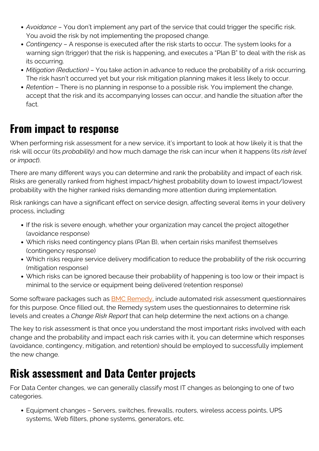- *Avoidance* You don't implement any part of the service that could trigger the specific risk. You avoid the risk by not implementing the proposed change.
- *Contingency* A response is executed after the risk starts to occur. The system looks for a warning sign (trigger) that the risk is happening, and executes a "Plan B" to deal with the risk as its occurring.
- *Mitigation (Reduction)*  You take action in advance to reduce the probability of a risk occurring. The risk hasn't occurred yet but your risk mitigation planning makes it less likely to occur.
- *Retention* There is no planning in response to a possible risk. You implement the change, accept that the risk and its accompanying losses can occur, and handle the situation after the fact.

## **From impact to response**

When performing risk assessment for a new service, it's important to look at how likely it is that the risk will occur (its *probability*) and how much damage the risk can incur when it happens (its *risk level* or *impact*).

There are many different ways you can determine and rank the probability and impact of each risk. Risks are generally ranked from highest impact/highest probability down to lowest impact/lowest probability with the higher ranked risks demanding more attention during implementation.

Risk rankings can have a significant effect on service design, affecting several items in your delivery process, including:

- If the risk is severe enough, whether your organization may cancel the project altogether (avoidance response)
- Which risks need contingency plans (Plan B), when certain risks manifest themselves (contingency response)
- Which risks require service delivery modification to reduce the probability of the risk occurring (mitigation response)
- Which risks can be ignored because their probability of happening is too low or their impact is minimal to the service or equipment being delivered (retention response)

Some software packages such as **[BMC Remedy](http://www.bmc.com/it-solutions/remedy-itsm.html)**, include automated risk assessment questionnaires for this purpose. Once filled out, the Remedy system uses the questionnaires to determine risk levels and creates a *Change Risk Report* that can help determine the next actions on a change.

The key to risk assessment is that once you understand the most important risks involved with each change and the probability and impact each risk carries with it, you can determine which responses (avoidance, contingency, mitigation, and retention) should be employed to successfully implement the new change.

### **Risk assessment and Data Center projects**

For Data Center changes, we can generally classify most IT changes as belonging to one of two categories.

Equipment changes – Servers, switches, firewalls, routers, wireless access points, UPS systems, Web filters, phone systems, generators, etc.